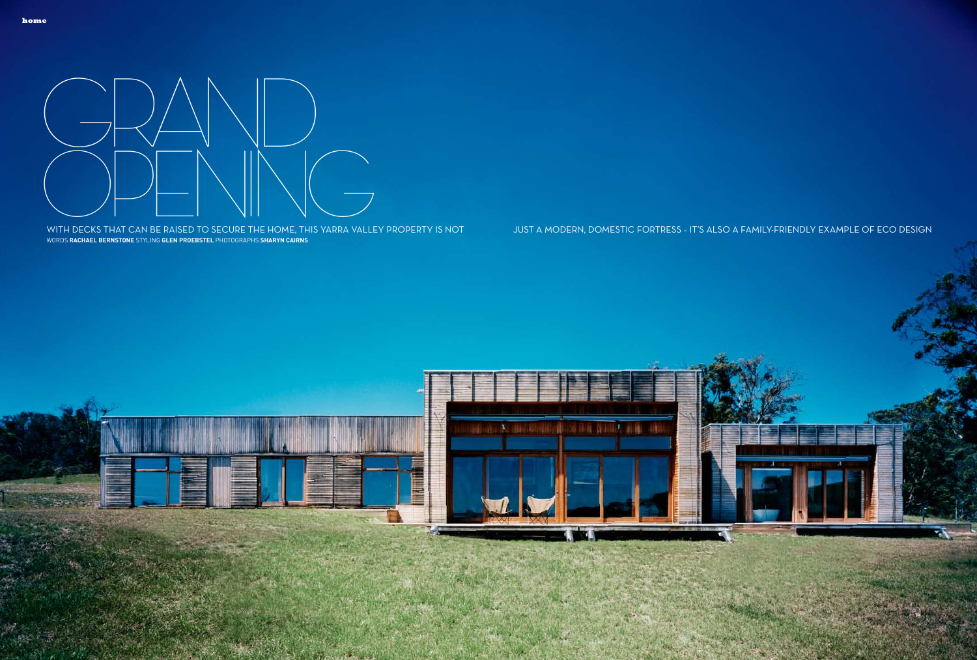



Words **rachael bernstone** styling **glen proebstel** Photographs **sharyn cairns**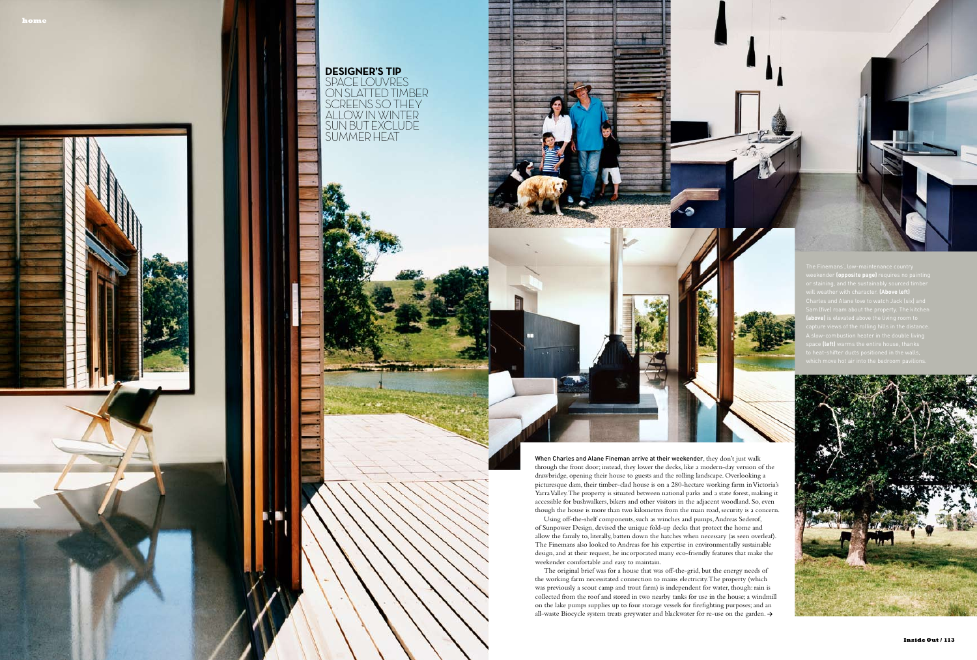weekender **(opposite page)** requires no painting will weather with character. **(Above left) (above)** is elevated above the living room to space **(left)** warms the entire house, thanks





**DESIGNER'S TIP** SPACE LOUVRES ON SLATTED TIMBER SCREENS SO THEY ALLOW IN WINTER SUN BUT EXCLUDE SUMMER HEAT

> When Charles and Alane Fineman arrive at their weekender, they don't just walk through the front door; instead, they lower the decks, like a modern-day version of the drawbridge, opening their house to guests and the rolling landscape. Overlooking a picturesque dam, their timber-clad house is on a 280-hectare working farm in Victoria's Yarra Valley. The property is situated between national parks and a state forest, making it accessible for bushwalkers, bikers and other visitors in the adjacent woodland. So, even though the house is more than two kilometres from the main road, security is a concern.

Using off-the-shelf components, such as winches and pumps, Andreas Sederof, of Sunpower Design, devised the unique fold-up decks that protect the home and allow the family to, literally, batten down the hatches when necessary (as seen overleaf). The Finemans also looked to Andreas for his expertise in environmentally sustainable design, and at their request, he incorporated many eco-friendly features that make the weekender comfortable and easy to maintain.

The original brief was for a house that was off-the-grid, but the energy needs of the working farm necessitated connection to mains electricity. The property (which was previously a scout camp and trout farm) is independent for water, though: rain is collected from the roof and stored in two nearby tanks for use in the house; a windmill on the lake pumps supplies up to four storage vessels for firefighting purposes; and an all-waste Biocycle system treats greywater and blackwater for re-use on the garden. **>**